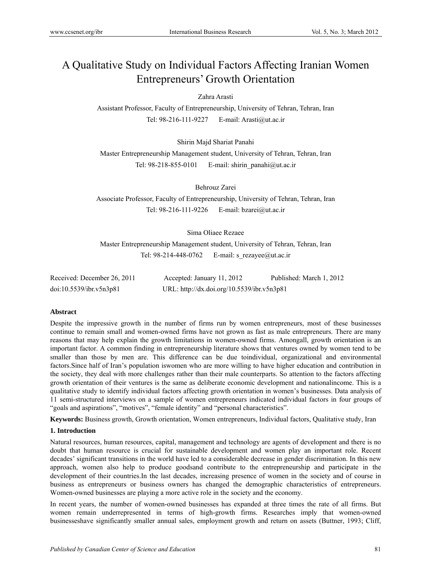# A Qualitative Study on Individual Factors Affecting Iranian Women Entrepreneurs' Growth Orientation

Zahra Arasti

Assistant Professor, Faculty of Entrepreneurship, University of Tehran, Tehran, Iran Tel: 98-216-111-9227 E-mail: Arasti@ut.ac.ir

Shirin Majd Shariat Panahi

Master Entrepreneurship Management student, University of Tehran, Tehran, Iran Tel: 98-218-855-0101 E-mail: shirin\_panahi@ut.ac.ir

Behrouz Zarei

Associate Professor, Faculty of Entrepreneurship, University of Tehran, Tehran, Iran Tel: 98-216-111-9226 E-mail: bzarei@ut.ac.ir

Sima Oliaee Rezaee

Master Entrepreneurship Management student, University of Tehran, Tehran, Iran Tel:  $98-214-448-0762$  E-mail: s\_rezayee@ut.ac.ir

| Received: December 26, 2011 | Accepted: January 11, 2012                 | Published: March 1, 2012 |
|-----------------------------|--------------------------------------------|--------------------------|
| doi:10.5539/ibr.v5n3p81     | URL: http://dx.doi.org/10.5539/ibr.v5n3p81 |                          |

#### **Abstract**

Despite the impressive growth in the number of firms run by women entrepreneurs, most of these businesses continue to remain small and women-owned firms have not grown as fast as male entrepreneurs. There are many reasons that may help explain the growth limitations in women-owned firms. Amongall, growth orientation is an important factor. A common finding in entrepreneurship literature shows that ventures owned by women tend to be smaller than those by men are. This difference can be due toindividual, organizational and environmental factors.Since half of Iran's population iswomen who are more willing to have higher education and contribution in the society, they deal with more challenges rather than their male counterparts. So attention to the factors affecting growth orientation of their ventures is the same as deliberate economic development and nationalincome. This is a qualitative study to identify individual factors affecting growth orientation in women's businesses. Data analysis of 11 semi-structured interviews on a sample of women entrepreneurs indicated individual factors in four groups of "goals and aspirations", "motives", "female identity" and "personal characteristics".

**Keywords:** Business growth, Growth orientation, Women entrepreneurs, Individual factors, Qualitative study, Iran

## **1. Introduction**

Natural resources, human resources, capital, management and technology are agents of development and there is no doubt that human resource is crucial for sustainable development and women play an important role. Recent decades' significant transitions in the world have led to a considerable decrease in gender discrimination. In this new approach, women also help to produce goodsand contribute to the entrepreneurship and participate in the development of their countries.In the last decades, increasing presence of women in the society and of course in business as entrepreneurs or business owners has changed the demographic characteristics of entrepreneurs. Women-owned businesses are playing a more active role in the society and the economy.

In recent years, the number of women-owned businesses has expanded at three times the rate of all firms. But women remain underrepresented in terms of high-growth firms. Researches imply that women-owned businesseshave significantly smaller annual sales, employment growth and return on assets (Buttner, 1993; Cliff,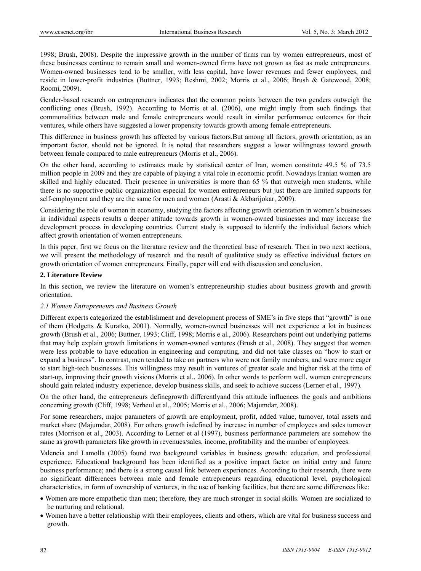1998; Brush, 2008). Despite the impressive growth in the number of firms run by women entrepreneurs, most of these businesses continue to remain small and women-owned firms have not grown as fast as male entrepreneurs. Women-owned businesses tend to be smaller, with less capital, have lower revenues and fewer employees, and reside in lower-profit industries (Buttner, 1993; Reshmi, 2002; Morris et al., 2006; Brush & Gatewood, 2008; Roomi, 2009).

Gender-based research on entrepreneurs indicates that the common points between the two genders outweigh the conflicting ones (Brush, 1992). According to Morris et al. (2006), one might imply from such findings that commonalities between male and female entrepreneurs would result in similar performance outcomes for their ventures, while others have suggested a lower propensity towards growth among female entrepreneurs.

This difference in business growth has affected by various factors.But among all factors, growth orientation, as an important factor, should not be ignored. It is noted that researchers suggest a lower willingness toward growth between female compared to male entrepreneurs (Morris et al., 2006).

On the other hand, according to estimates made by statistical center of Iran, women constitute 49.5 % of 73.5 million people in 2009 and they are capable of playing a vital role in economic profit. Nowadays Iranian women are skilled and highly educated. Their presence in universities is more than 65 % that outweigh men students, while there is no supportive public organization especial for women entrepreneurs but just there are limited supports for self-employment and they are the same for men and women (Arasti  $\&$  Akbarijokar, 2009).

Considering the role of women in economy, studying the factors affecting growth orientation in women's businesses in individual aspects results a deeper attitude towards growth in women-owned businesses and may increase the development process in developing countries. Current study is supposed to identify the individual factors which affect growth orientation of women entrepreneurs.

In this paper, first we focus on the literature review and the theoretical base of research. Then in two next sections, we will present the methodology of research and the result of qualitative study as effective individual factors on growth orientation of women entrepreneurs. Finally, paper will end with discussion and conclusion.

#### **2. Literature Review**

In this section, we review the literature on women's entrepreneurship studies about business growth and growth orientation.

#### *2.1 Women Entrepreneurs and Business Growth*

Different experts categorized the establishment and development process of SME's in five steps that "growth" is one of them (Hodgetts & Kuratko, 2001). Normally, women-owned businesses will not experience a lot in business growth (Brush et al., 2006; Buttner, 1993; Cliff, 1998; Morris e al., 2006). Researchers point out underlying patterns that may help explain growth limitations in women-owned ventures (Brush et al., 2008). They suggest that women were less probable to have education in engineering and computing, and did not take classes on "how to start or expand a business". In contrast, men tended to take on partners who were not family members, and were more eager to start high-tech businesses. This willingness may result in ventures of greater scale and higher risk at the time of start-up, improving their growth visions (Morris et al., 2006). In other words to perform well, women entrepreneurs should gain related industry experience, develop business skills, and seek to achieve success (Lerner et al., 1997).

On the other hand, the entrepreneurs definegrowth differentlyand this attitude influences the goals and ambitions concerning growth (Cliff, 1998; Verheul et al., 2005; Morris et al., 2006; Majumdar, 2008).

For some researchers, major parameters of growth are employment, profit, added value, turnover, total assets and market share (Majumdar, 2008). For others growth isdefined by increase in number of employees and sales turnover rates (Morrison et al., 2003). According to Lerner et al (1997), business performance parameters are somehow the same as growth parameters like growth in revenues/sales, income, profitability and the number of employees.

Valencia and Lamolla (2005) found two background variables in business growth: education, and professional experience. Educational background has been identified as a positive impact factor on initial entry and future business performance; and there is a strong causal link between experiences. According to their research, there were no significant differences between male and female entrepreneurs regarding educational level, psychological characteristics, in form of ownership of ventures, in the use of banking facilities, but there are some differences like:

- Women are more empathetic than men; therefore, they are much stronger in social skills. Women are socialized to be nurturing and relational.
- Women have a better relationship with their employees, clients and others, which are vital for business success and growth.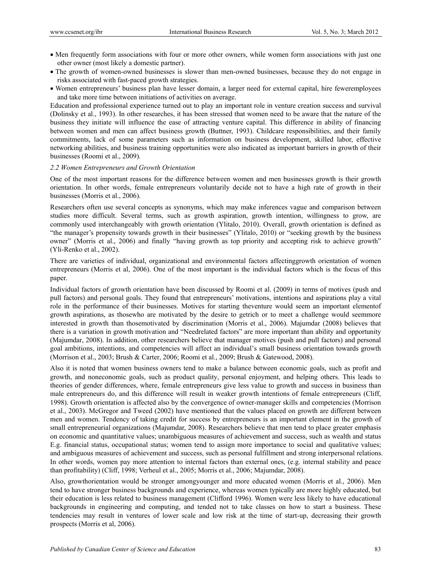- Men frequently form associations with four or more other owners, while women form associations with just one other owner (most likely a domestic partner).
- The growth of women-owned businesses is slower than men-owned businesses, because they do not engage in risks associated with fast-paced growth strategies.
- Women entrepreneurs' business plan have lesser domain, a larger need for external capital, hire feweremployees and take more time between initiations of activities on average.

Education and professional experience turned out to play an important role in venture creation success and survival (Dolinsky et al., 1993). In other researches, it has been stressed that women need to be aware that the nature of the business they initiate will influence the ease of attracting venture capital. This difference in ability of financing between women and men can affect business growth (Buttner, 1993). Childcare responsibilities, and their family commitments, lack of some parameters such as information on business development, skilled labor, effective networking abilities, and business training opportunities were also indicated as important barriers in growth of their businesses (Roomi et al., 2009).

#### *2.2 Women Entrepreneurs and Growth Orientation*

One of the most important reasons for the difference between women and men businesses growth is their growth orientation. In other words, female entrepreneurs voluntarily decide not to have a high rate of growth in their businesses (Morris et al., 2006).

Researchers often use several concepts as synonyms, which may make inferences vague and comparison between studies more difficult. Several terms, such as growth aspiration, growth intention, willingness to grow, are commonly used interchangeably with growth orientation (Ylitalo, 2010). Overall, growth orientation is defined as "the manager's propensity towards growth in their businesses" (Ylitalo, 2010) or "seeking growth by the business owner" (Morris et al., 2006) and finally "having growth as top priority and accepting risk to achieve growth" (Yli-Renko et al., 2002).

There are varieties of individual, organizational and environmental factors affectinggrowth orientation of women entrepreneurs (Morris et al, 2006). One of the most important is the individual factors which is the focus of this paper.

Individual factors of growth orientation have been discussed by Roomi et al. (2009) in terms of motives (push and pull factors) and personal goals. They found that entrepreneurs' motivations, intentions and aspirations play a vital role in the performance of their businesses. Motives for starting theventure would seem an important elementof growth aspirations, as thosewho are motivated by the desire to getrich or to meet a challenge would seemmore interested in growth than thosemotivated by discrimination (Morris et al., 2006). Majumdar (2008) believes that there is a variation in growth motivation and "Needrelated factors" are more important than ability and opportunity (Majumdar, 2008). In addition, other researchers believe that manager motives (push and pull factors) and personal goal ambitions, intentions, and competencies will affect an individual's small business orientation towards growth (Morrison et al., 2003; Brush & Carter, 2006; Roomi et al., 2009; Brush & Gatewood, 2008).

Also it is noted that women business owners tend to make a balance between economic goals, such as profit and growth, and noneconomic goals, such as product quality, personal enjoyment, and helping others. This leads to theories of gender differences, where, female entrepreneurs give less value to growth and success in business than male entrepreneurs do, and this difference will result in weaker growth intentions of female entrepreneurs (Cliff, 1998). Growth orientation is affected also by the convergence of owner-manager skills and competencies (Morrison et al., 2003). McGregor and Tweed (2002) have mentioned that the values placed on growth are different between men and women. Tendency of taking credit for success by entrepreneurs is an important element in the growth of small entrepreneurial organizations (Majumdar, 2008). Researchers believe that men tend to place greater emphasis on economic and quantitative values; unambiguous measures of achievement and success, such as wealth and status E.g. financial status, occupational status; women tend to assign more importance to social and qualitative values; and ambiguous measures of achievement and success, such as personal fulfillment and strong interpersonal relations. In other words, women pay more attention to internal factors than external ones, (e.g. internal stability and peace than profitability) (Cliff, 1998; Verheul et al., 2005; Morris et al., 2006; Majumdar, 2008).

Also, growthorientation would be stronger amongyounger and more educated women (Morris et al., 2006). Men tend to have stronger business backgrounds and experience, whereas women typically are more highly educated, but their education is less related to business management (Clifford 1996). Women were less likely to have educational backgrounds in engineering and computing, and tended not to take classes on how to start a business. These tendencies may result in ventures of lower scale and low risk at the time of start-up, decreasing their growth prospects (Morris et al, 2006).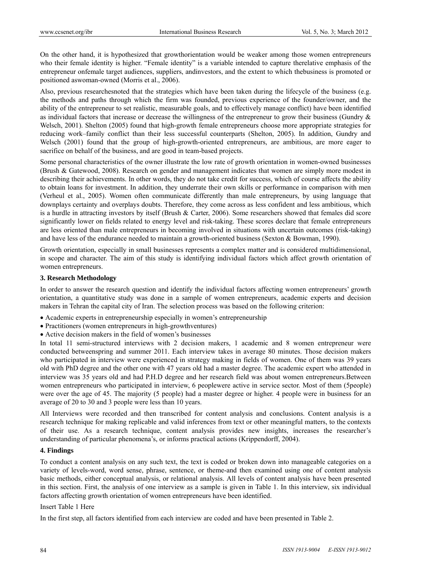On the other hand, it is hypothesized that growthorientation would be weaker among those women entrepreneurs who their female identity is higher. "Female identity" is a variable intended to capture therelative emphasis of the entrepreneur onfemale target audiences, suppliers, andinvestors, and the extent to which thebusiness is promoted or positioned aswoman-owned (Morris et al., 2006).

Also, previous researchesnoted that the strategies which have been taken during the lifecycle of the business (e.g. the methods and paths through which the firm was founded, previous experience of the founder/owner, and the ability of the entrepreneur to set realistic, measurable goals, and to effectively manage conflict) have been identified as individual factors that increase or decrease the willingness of the entrepreneur to grow their business (Gundry & Welsch, 2001). Shelton (2005) found that high-growth female entrepreneurs choose more appropriate strategies for reducing work–family conflict than their less successful counterparts (Shelton, 2005). In addition, Gundry and Welsch (2001) found that the group of high-growth-oriented entrepreneurs, are ambitious, are more eager to sacrifice on behalf of the business, and are good in team-based projects.

Some personal characteristics of the owner illustrate the low rate of growth orientation in women-owned businesses (Brush & Gatewood, 2008). Research on gender and management indicates that women are simply more modest in describing their achievements. In other words, they do not take credit for success, which of course affects the ability to obtain loans for investment. In addition, they underrate their own skills or performance in comparison with men (Verheul et al., 2005). Women often communicate differently than male entrepreneurs, by using language that downplays certainty and overplays doubts. Therefore, they come across as less confident and less ambitious, which is a hurdle in attracting investors by itself (Brush & Carter, 2006). Some researchers showed that females did score significantly lower on fields related to energy level and risk-taking. These scores declare that female entrepreneurs are less oriented than male entrepreneurs in becoming involved in situations with uncertain outcomes (risk-taking) and have less of the endurance needed to maintain a growth-oriented business (Sexton & Bowman, 1990).

Growth orientation, especially in small businesses represents a complex matter and is considered multidimensional, in scope and character. The aim of this study is identifying individual factors which affect growth orientation of women entrepreneurs.

#### **3. Research Methodology**

In order to answer the research question and identify the individual factors affecting women entrepreneurs' growth orientation, a quantitative study was done in a sample of women entrepreneurs, academic experts and decision makers in Tehran the capital city of Iran. The selection process was based on the following criterion:

- Academic experts in entrepreneurship especially in women's entrepreneurship
- Practitioners (women entrepreneurs in high-growthventures)
- Active decision makers in the field of women's businesses

In total 11 semi-structured interviews with 2 decision makers, 1 academic and 8 women entrepreneur were conducted betweenspring and summer 2011. Each interview takes in average 80 minutes. Those decision makers who participated in interview were experienced in strategy making in fields of women. One of them was 39 years old with PhD degree and the other one with 47 years old had a master degree. The academic expert who attended in interview was 35 years old and had P.H.D degree and her research field was about women entrepreneurs.Between women entrepreneurs who participated in interview, 6 peoplewere active in service sector. Most of them (5people) were over the age of 45. The majority (5 people) had a master degree or higher. 4 people were in business for an average of 20 to 30 and 3 people were less than 10 years.

All Interviews were recorded and then transcribed for content analysis and conclusions. Content analysis is a research technique for making replicable and valid inferences from text or other meaningful matters, to the contexts of their use. As a research technique, content analysis provides new insights, increases the researcher's understanding of particular phenomena's, or informs practical actions (Krippendorff, 2004).

#### **4. Findings**

To conduct a content analysis on any such text, the text is coded or broken down into manageable categories on a variety of levels-word, word sense, phrase, sentence, or theme-and then examined using one of content analysis basic methods, either conceptual analysis, or relational analysis. All levels of content analysis have been presented in this section. First, the analysis of one interview as a sample is given in Table 1. In this interview, six individual factors affecting growth orientation of women entrepreneurs have been identified.

#### Insert Table 1 Here

In the first step, all factors identified from each interview are coded and have been presented in Table 2.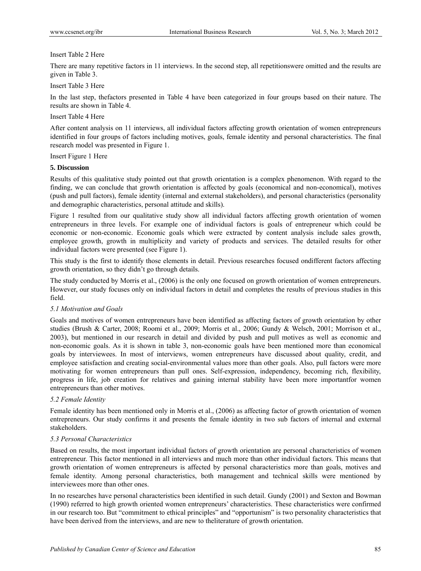#### Insert Table 2 Here

There are many repetitive factors in 11 interviews. In the second step, all repetitionswere omitted and the results are given in Table 3.

Insert Table 3 Here

In the last step, thefactors presented in Table 4 have been categorized in four groups based on their nature. The results are shown in Table 4.

#### Insert Table 4 Here

After content analysis on 11 interviews, all individual factors affecting growth orientation of women entrepreneurs identified in four groups of factors including motives, goals, female identity and personal characteristics. The final research model was presented in Figure 1.

#### Insert Figure 1 Here

## **5. Discussion**

Results of this qualitative study pointed out that growth orientation is a complex phenomenon. With regard to the finding, we can conclude that growth orientation is affected by goals (economical and non-economical), motives (push and pull factors), female identity (internal and external stakeholders), and personal characteristics (personality and demographic characteristics, personal attitude and skills).

Figure 1 resulted from our qualitative study show all individual factors affecting growth orientation of women entrepreneurs in three levels. For example one of individual factors is goals of entrepreneur which could be economic or non-economic. Economic goals which were extracted by content analysis include sales growth, employee growth, growth in multiplicity and variety of products and services. The detailed results for other individual factors were presented (see Figure 1).

This study is the first to identify those elements in detail. Previous researches focused ondifferent factors affecting growth orientation, so they didn't go through details.

The study conducted by Morris et al., (2006) is the only one focused on growth orientation of women entrepreneurs. However, our study focuses only on individual factors in detail and completes the results of previous studies in this field.

#### *5.1 Motivation and Goals*

Goals and motives of women entrepreneurs have been identified as affecting factors of growth orientation by other studies (Brush & Carter, 2008; Roomi et al., 2009; Morris et al., 2006; Gundy & Welsch, 2001; Morrison et al., 2003), but mentioned in our research in detail and divided by push and pull motives as well as economic and non-economic goals. As it is shown in table 3, non-economic goals have been mentioned more than economical goals by interviewees. In most of interviews, women entrepreneurs have discussed about quality, credit, and employee satisfaction and creating social-environmental values more than other goals. Also, pull factors were more motivating for women entrepreneurs than pull ones. Self-expression, independency, becoming rich, flexibility, progress in life, job creation for relatives and gaining internal stability have been more importantfor women entrepreneurs than other motives.

#### *5.2 Female Identity*

Female identity has been mentioned only in Morris et al., (2006) as affecting factor of growth orientation of women entrepreneurs. Our study confirms it and presents the female identity in two sub factors of internal and external stakeholders.

#### *5.3 Personal Characteristics*

Based on results, the most important individual factors of growth orientation are personal characteristics of women entrepreneur. This factor mentioned in all interviews and much more than other individual factors. This means that growth orientation of women entrepreneurs is affected by personal characteristics more than goals, motives and female identity. Among personal characteristics, both management and technical skills were mentioned by interviewees more than other ones.

In no researches have personal characteristics been identified in such detail. Gundy (2001) and Sexton and Bowman (1990) referred to high growth oriented women entrepreneurs' characteristics. These characteristics were confirmed in our research too. But "commitment to ethical principles" and "opportunism" is two personality characteristics that have been derived from the interviews, and are new to theliterature of growth orientation.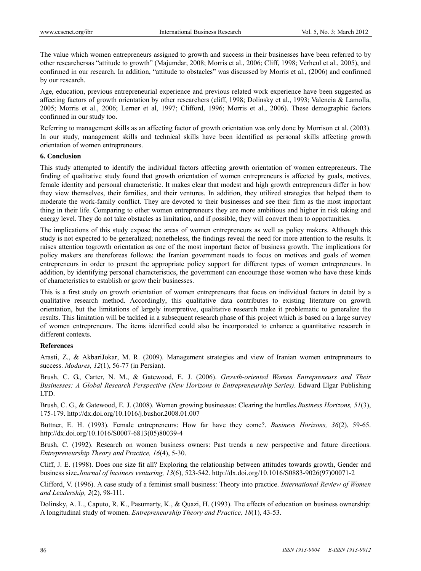The value which women entrepreneurs assigned to growth and success in their businesses have been referred to by other researchersas "attitude to growth" (Majumdar, 2008; Morris et al., 2006; Cliff, 1998; Verheul et al., 2005), and confirmed in our research. In addition, "attitude to obstacles" was discussed by Morris et al., (2006) and confirmed by our research.

Age, education, previous entrepreneurial experience and previous related work experience have been suggested as affecting factors of growth orientation by other researchers (cliff, 1998; Dolinsky et al., 1993; Valencia & Lamolla, 2005; Morris et al., 2006; Lerner et al, 1997; Clifford, 1996; Morris et al., 2006). These demographic factors confirmed in our study too.

Referring to management skills as an affecting factor of growth orientation was only done by Morrison et al. (2003). In our study, management skills and technical skills have been identified as personal skills affecting growth orientation of women entrepreneurs.

#### **6. Conclusion**

This study attempted to identify the individual factors affecting growth orientation of women entrepreneurs. The finding of qualitative study found that growth orientation of women entrepreneurs is affected by goals, motives, female identity and personal characteristic. It makes clear that modest and high growth entrepreneurs differ in how they view themselves, their families, and their ventures. In addition, they utilized strategies that helped them to moderate the work-family conflict. They are devoted to their businesses and see their firm as the most important thing in their life. Comparing to other women entrepreneurs they are more ambitious and higher in risk taking and energy level. They do not take obstacles as limitation, and if possible, they will convert them to opportunities.

The implications of this study expose the areas of women entrepreneurs as well as policy makers. Although this study is not expected to be generalized; nonetheless, the findings reveal the need for more attention to the results. It raises attention togrowth orientation as one of the most important factor of business growth. The implications for policy makers are thereforeas follows: the Iranian government needs to focus on motives and goals of women entrepreneurs in order to present the appropriate policy support for different types of women entrepreneurs. In addition, by identifying personal characteristics, the government can encourage those women who have these kinds of characteristics to establish or grow their businesses.

This is a first study on growth orientation of women entrepreneurs that focus on individual factors in detail by a qualitative research method. Accordingly, this qualitative data contributes to existing literature on growth orientation, but the limitations of largely interpretive, qualitative research make it problematic to generalize the results. This limitation will be tackled in a subsequent research phase of this project which is based on a large survey of women entrepreneurs. The items identified could also be incorporated to enhance a quantitative research in different contexts.

#### **References**

Arasti, Z., & AkbariJokar, M. R. (2009). Management strategies and view of Iranian women entrepreneurs to success. *Modares, 12*(1), 56-77 (in Persian).

Brush, C. G., Carter, N. M., & Gatewood, E. J. (2006). *Growth-oriented Women Entrepreneurs and Their Businesses: A Global Research Perspective (New Horizons in Entrepreneurship Series)*. Edward Elgar Publishing LTD.

Brush, C. G., & Gatewood, E. J. (2008). Women growing businesses: Clearing the hurdles.*Business Horizons, 51*(3), 175-179. http://dx.doi.org/10.1016/j.bushor.2008.01.007

Buttner, E. H. (1993). Female entrepreneurs: How far have they come?. *Business Horizons, 36*(2), 59-65. http://dx.doi.org/10.1016/S0007-6813(05)80039-4

Brush, C. (1992). Research on women business owners: Past trends a new perspective and future directions. *Entrepreneurship Theory and Practice, 16*(4), 5-30.

Cliff, J. E. (1998). Does one size fit all? Exploring the relationship between attitudes towards growth, Gender and business size.*Journal of business venturing, 13*(6), 523-542. http://dx.doi.org/10.1016/S0883-9026(97)00071-2

Clifford, V. (1996). A case study of a feminist small business: Theory into practice. *International Review of Women and Leadership, 2*(2), 98-111.

Dolinsky, A. L., Caputo, R. K., Pasumarty, K., & Quazi, H. (1993). The effects of education on business ownership: A longitudinal study of women. *Entrepreneurship Theory and Practice, 18*(1), 43-53.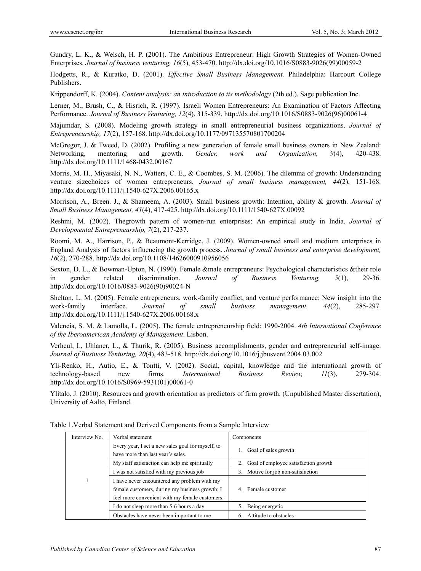Gundry, L. K., & Welsch, H. P. (2001). The Ambitious Entrepreneur: High Growth Strategies of Women-Owned Enterprises. *Journal of business venturing, 16*(5), 453-470. http://dx.doi.org/10.1016/S0883-9026(99)00059-2

Hodgetts, R., & Kuratko, D. (2001). *Effective Small Business Management.* Philadelphia: Harcourt College Publishers.

Krippendorff, K. (2004). *Content analysis: an introduction to its methodology* (2th ed.). Sage publication Inc.

Lerner, M., Brush, C., & Hisrich, R. (1997). Israeli Women Entrepreneurs: An Examination of Factors Affecting Performance. *Journal of Business Venturing, 12*(4), 315-339. http://dx.doi.org/10.1016/S0883-9026(96)00061-4

Majumdar, S. (2008). Modeling growth strategy in small entrepreneurial business organizations. *Journal of Entrepreneurship, 17*(2), 157-168. http://dx.doi.org/10.1177/097135570801700204

McGregor, J. & Tweed, D. (2002). Profiling a new generation of female small business owners in New Zealand: Networking, mentoring and growth. *Gender, work and Organization, 9*(4), 420-438. http://dx.doi.org/10.1111/1468-0432.00167

Morris, M. H., Miyasaki, N. N., Watters, C. E., & Coombes, S. M. (2006). The dilemma of growth: Understanding venture sizechoices of women entrepreneurs. *Journal of small business management, 44*(2), 151-168. http://dx.doi.org/10.1111/j.1540-627X.2006.00165.x

Morrison, A., Breen. J., & Shameem, A. (2003). Small business growth: Intention, ability & growth. *Journal of Small Business Management, 41*(4), 417-425. http://dx.doi.org/10.1111/1540-627X.00092

Reshmi, M. (2002). Thegrowth pattern of women-run enterprises: An empirical study in India. *Journal of Developmental Entrepreneurship, 7*(2), 217-237.

Roomi, M. A., Harrison, P., & Beaumont-Kerridge, J. (2009). Women-owned small and medium enterprises in England Analysis of factors influencing the growth process. *Journal of small business and enterprise development, 16*(2), 270-288. http://dx.doi.org/10.1108/14626000910956056

Sexton, D. L., & Bowman-Upton, N. (1990). Female &male entrepreneurs: Psychological characteristics &their role in gender related discrimination. *Journal of Business Venturing, 5*(1), 29-36. http://dx.doi.org/10.1016/0883-9026(90)90024-N

Shelton, L. M. (2005). Female entrepreneurs, work-family conflict, and venture performance: New insight into the work-family interface. *Journal of small business management, 44*(2), 285-297. http://dx.doi.org/10.1111/j.1540-627X.2006.00168.x

Valencia, S. M. & Lamolla, L. (2005). The female entrepreneurship field: 1990-2004. *4th International Conference of the Iberoamerican Academy of Management*. Lisbon.

Verheul, I., Uhlaner, L., & Thurik, R. (2005). Business accomplishments, gender and entrepreneurial self-image. *Journal of Business Venturing, 20*(4), 483-518. http://dx.doi.org/10.1016/j.jbusvent.2004.03.002

Yli-Renko, H., Autio, E., & Tontti, V. (2002). Social, capital, knowledge and the international growth of technology-based new firms. *International Business Review, 11*(3), 279-304. http://dx.doi.org/10.1016/S0969-5931(01)00061-0

Ylitalo, J. (2010). Resources and growth orientation as predictors of firm growth. (Unpublished Master dissertation), University of Aalto, Finland.

| Interview No. | Verbal statement                                                                               | Components                              |  |
|---------------|------------------------------------------------------------------------------------------------|-----------------------------------------|--|
|               | Every year, I set a new sales goal for myself, to<br>have more than last year's sales.         | 1. Goal of sales growth                 |  |
|               | My staff satisfaction can help me spiritually                                                  | 2. Goal of employee satisfaction growth |  |
|               |                                                                                                |                                         |  |
|               | I was not satisfied with my previous job                                                       | 3. Motive for job non-satisfaction      |  |
|               | I have never encountered any problem with my<br>female customers, during my business growth; I | Female customer<br>$\overline{4}$       |  |
|               | feel more convenient with my female customers.                                                 |                                         |  |
|               | I do not sleep more than 5-6 hours a day                                                       | 5. Being energetic                      |  |
|               | Obstacles have never been important to me                                                      | Attitude to obstacles<br>6.             |  |

Table 1.Verbal Statement and Derived Components from a Sample Interview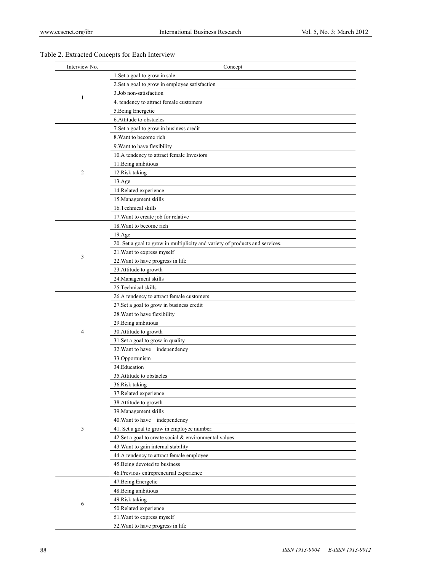# Table 2. Extracted Concepts for Each Interview

| Interview No.  | Concept                                                                      |  |
|----------------|------------------------------------------------------------------------------|--|
|                | 1.Set a goal to grow in sale                                                 |  |
|                | 2. Set a goal to grow in employee satisfaction                               |  |
|                | 3.Job non-satisfaction                                                       |  |
| 1              | 4. tendency to attract female customers                                      |  |
|                | 5. Being Energetic                                                           |  |
|                | 6. Attitude to obstacles                                                     |  |
|                | 7. Set a goal to grow in business credit                                     |  |
|                | 8. Want to become rich                                                       |  |
|                | 9. Want to have flexibility                                                  |  |
|                | 10.A tendency to attract female Investors                                    |  |
|                | 11. Being ambitious                                                          |  |
| 2              | 12.Risk taking                                                               |  |
|                | 13.Age                                                                       |  |
|                | 14.Related experience                                                        |  |
|                | 15. Management skills                                                        |  |
|                | 16. Technical skills                                                         |  |
|                |                                                                              |  |
|                | 17. Want to create job for relative                                          |  |
|                | 18. Want to become rich                                                      |  |
|                | $19.$ Age                                                                    |  |
|                | 20. Set a goal to grow in multiplicity and variety of products and services. |  |
| 3              | 21. Want to express myself                                                   |  |
|                | 22. Want to have progress in life                                            |  |
|                | 23. Attitude to growth                                                       |  |
|                | 24. Management skills                                                        |  |
|                | 25. Technical skills                                                         |  |
|                | 26.A tendency to attract female customers                                    |  |
|                | 27. Set a goal to grow in business credit                                    |  |
|                | 28. Want to have flexibility                                                 |  |
|                | 29. Being ambitious                                                          |  |
| $\overline{4}$ | 30. Attitude to growth                                                       |  |
|                | 31. Set a goal to grow in quality                                            |  |
|                | 32. Want to have independency                                                |  |
|                | 33.Opportunism                                                               |  |
|                | 34. Education                                                                |  |
|                | 35. Attitude to obstacles                                                    |  |
|                | 36.Risk taking                                                               |  |
|                | 37. Related experience                                                       |  |
|                | 38. Attitude to growth                                                       |  |
|                | 39. Management skills                                                        |  |
|                | 40. Want to have independency                                                |  |
| $\sqrt{5}$     | 41. Set a goal to grow in employee number.                                   |  |
|                | 42. Set a goal to create social & environmental values                       |  |
|                | 43. Want to gain internal stability                                          |  |
|                | 44.A tendency to attract female employee                                     |  |
|                | 45. Being devoted to business                                                |  |
|                | 46. Previous entrepreneurial experience                                      |  |
|                | 47. Being Energetic                                                          |  |
|                | 48. Being ambitious                                                          |  |
|                | 49. Risk taking                                                              |  |
| 6              | 50.Related experience                                                        |  |
|                | 51. Want to express myself                                                   |  |
|                | 52. Want to have progress in life                                            |  |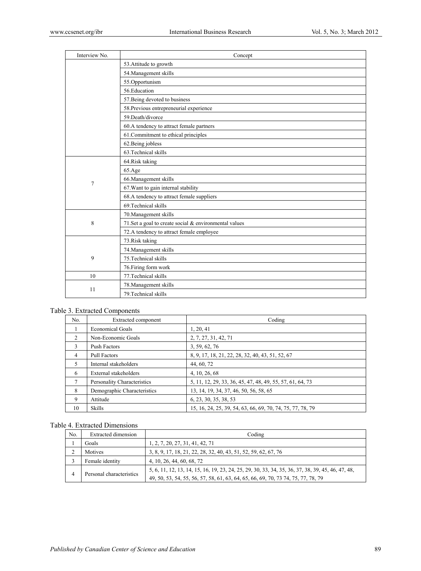| Interview No. | Concept                                                  |  |
|---------------|----------------------------------------------------------|--|
|               | 53. Attitude to growth                                   |  |
|               | 54. Management skills                                    |  |
|               | 55.Opportunism                                           |  |
|               | 56 Education                                             |  |
|               | 57. Being devoted to business                            |  |
|               | 58. Previous entrepreneurial experience                  |  |
|               | 59 Death/divorce                                         |  |
|               | 60.A tendency to attract female partners                 |  |
|               | 61. Commitment to ethical principles                     |  |
|               | 62. Being jobless                                        |  |
|               | 63. Technical skills                                     |  |
|               | 64.Risk taking                                           |  |
|               | 65.Age                                                   |  |
|               | 66. Management skills                                    |  |
| 7             | 67. Want to gain internal stability                      |  |
|               | 68.A tendency to attract female suppliers                |  |
|               | 69. Technical skills                                     |  |
|               | 70. Management skills                                    |  |
| 8             | 71. Set a goal to create social $&$ environmental values |  |
|               | 72.A tendency to attract female employee                 |  |
|               | 73.Risk taking                                           |  |
|               | 74. Management skills                                    |  |
| 9             | 75. Technical skills                                     |  |
|               | 76. Firing form work                                     |  |
| 10            | 77. Technical skills                                     |  |
|               | 78. Management skills                                    |  |
| 11            | 79 Technical skills                                      |  |

# Table 3. Extracted Components

| No.            | Extracted component         | Coding                                                     |  |
|----------------|-----------------------------|------------------------------------------------------------|--|
|                | <b>Economical Goals</b>     | 1, 20, 41                                                  |  |
| 2              | Non-Economic Goals          | 2, 7, 27, 31, 42, 71                                       |  |
| $\mathcal{F}$  | <b>Push Factors</b>         | 3, 59, 62, 76                                              |  |
| $\overline{4}$ | <b>Pull Factors</b>         | 8, 9, 17, 18, 21, 22, 28, 32, 40, 43, 51, 52, 67           |  |
| 5              | Internal stakeholders       | 44, 60, 72                                                 |  |
| 6              | External stakeholders       | 4, 10, 26, 68                                              |  |
| $\tau$         | Personality Characteristics | 5, 11, 12, 29, 33, 36, 45, 47, 48, 49, 55, 57, 61, 64, 73  |  |
| 8              | Demographic Characteristics | 13, 14, 19, 34, 37, 46, 50, 56, 58, 65                     |  |
| 9              | Attitude                    | 6, 23, 30, 35, 38, 53                                      |  |
| 10             | <b>Skills</b>               | 15, 16, 24, 25, 39, 54, 63, 66, 69, 70, 74, 75, 77, 78, 79 |  |

# Table 4. Extracted Dimensions

| No. | Extracted dimension      | Coding                                                                                                                                                                                  |  |
|-----|--------------------------|-----------------------------------------------------------------------------------------------------------------------------------------------------------------------------------------|--|
|     | Goals                    | 1, 2, 7, 20, 27, 31, 41, 42, 71                                                                                                                                                         |  |
| ◠   | <b>Motives</b>           | 3, 8, 9, 17, 18, 21, 22, 28, 32, 40, 43, 51, 52, 59, 62, 67, 76                                                                                                                         |  |
|     | Female identity          | 4, 10, 26, 44, 60, 68, 72                                                                                                                                                               |  |
|     | Personal characteristics | 5, 6, 11, 12, 13, 14, 15, 16, 19, 23, 24, 25, 29, 30, 33, 34, 35, 36, 37, 38, 39, 45, 46, 47, 48,<br>49, 50, 53, 54, 55, 56, 57, 58, 61, 63, 64, 65, 66, 69, 70, 73, 74, 75, 77, 78, 79 |  |